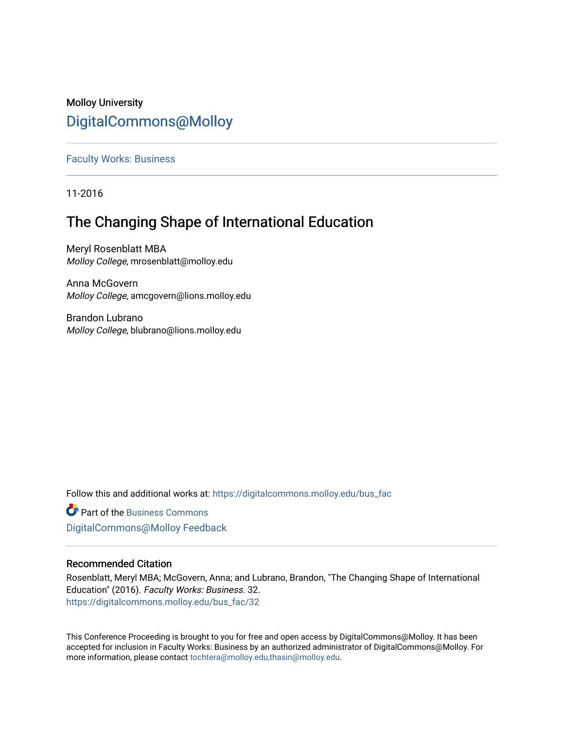# Molloy University [DigitalCommons@Molloy](https://digitalcommons.molloy.edu/)

[Faculty Works: Business](https://digitalcommons.molloy.edu/bus_fac) 

11-2016

# The Changing Shape of International Education

Meryl Rosenblatt MBA Molloy College, mrosenblatt@molloy.edu

Anna McGovern Molloy College, amcgovern@lions.molloy.edu

Brandon Lubrano Molloy College, blubrano@lions.molloy.edu

Follow this and additional works at: [https://digitalcommons.molloy.edu/bus\\_fac](https://digitalcommons.molloy.edu/bus_fac?utm_source=digitalcommons.molloy.edu%2Fbus_fac%2F32&utm_medium=PDF&utm_campaign=PDFCoverPages)

**C** Part of the [Business Commons](https://network.bepress.com/hgg/discipline/622?utm_source=digitalcommons.molloy.edu%2Fbus_fac%2F32&utm_medium=PDF&utm_campaign=PDFCoverPages) [DigitalCommons@Molloy Feedback](https://molloy.libwizard.com/f/dcfeedback)

# Recommended Citation

Rosenblatt, Meryl MBA; McGovern, Anna; and Lubrano, Brandon, "The Changing Shape of International Education" (2016). Faculty Works: Business. 32. [https://digitalcommons.molloy.edu/bus\\_fac/32](https://digitalcommons.molloy.edu/bus_fac/32?utm_source=digitalcommons.molloy.edu%2Fbus_fac%2F32&utm_medium=PDF&utm_campaign=PDFCoverPages) 

This Conference Proceeding is brought to you for free and open access by DigitalCommons@Molloy. It has been accepted for inclusion in Faculty Works: Business by an authorized administrator of DigitalCommons@Molloy. For more information, please contact [tochtera@molloy.edu,thasin@molloy.edu.](mailto:tochtera@molloy.edu,thasin@molloy.edu)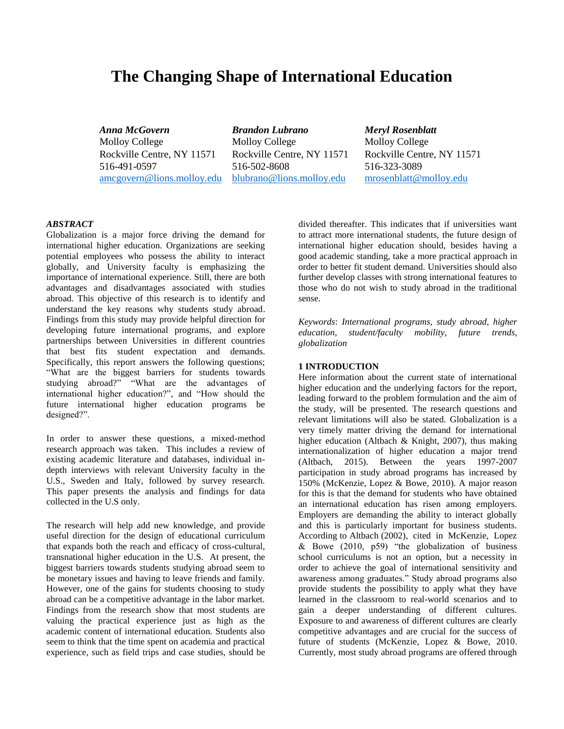# **The Changing Shape of International Education**

*Anna McGovern Brandon Lubrano Meryl Rosenblatt* Molloy College Molloy College Molloy College Rockville Centre, NY 11571 Rockville Centre, NY 11571 Rockville Centre, NY 11571 516-491-0597 516-502-8608 516-323-3089 [amcgovern@lions.molloy.edu](mailto:amcgovern@lions.molloy.edu) [blubrano@lions.molloy.edu](mailto:blubrano@lions.molloy.edu) [mrosenblatt@molloy.edu](mailto:mrosenblatt@molloy.edu)

# *ABSTRACT*

Globalization is a major force driving the demand for international higher education. Organizations are seeking potential employees who possess the ability to interact globally, and University faculty is emphasizing the importance of international experience. Still, there are both advantages and disadvantages associated with studies abroad. This objective of this research is to identify and understand the key reasons why students study abroad. Findings from this study may provide helpful direction for developing future international programs, and explore partnerships between Universities in different countries that best fits student expectation and demands. Specifically, this report answers the following questions; "What are the biggest barriers for students towards studying abroad?" "What are the advantages of international higher education?", and "How should the future international higher education programs be designed?".

In order to answer these questions, a mixed-method research approach was taken. This includes a review of existing academic literature and databases, individual indepth interviews with relevant University faculty in the U.S., Sweden and Italy, followed by survey research. This paper presents the analysis and findings for data collected in the U.S only.

The research will help add new knowledge, and provide useful direction for the design of educational curriculum that expands both the reach and efficacy of cross-cultural, transnational higher education in the U.S. At present, the biggest barriers towards students studying abroad seem to be monetary issues and having to leave friends and family. However, one of the gains for students choosing to study abroad can be a competitive advantage in the labor market. Findings from the research show that most students are valuing the practical experience just as high as the academic content of international education. Students also seem to think that the time spent on academia and practical experience, such as field trips and case studies, should be divided thereafter. This indicates that if universities want to attract more international students, the future design of international higher education should, besides having a good academic standing, take a more practical approach in order to better fit student demand. Universities should also further develop classes with strong international features to those who do not wish to study abroad in the traditional sense.

*Keywords*: *International programs, study abroad, higher education, student/faculty mobility, future trends, globalization*

### **1 INTRODUCTION**

Here information about the current state of international higher education and the underlying factors for the report, leading forward to the problem formulation and the aim of the study, will be presented. The research questions and relevant limitations will also be stated. Globalization is a very timely matter driving the demand for international higher education (Altbach & Knight, 2007), thus making internationalization of higher education a major trend (Altbach, 2015). Between the years 1997-2007 participation in study abroad programs has increased by 150% (McKenzie, Lopez & Bowe, 2010). A major reason for this is that the demand for students who have obtained an international education has risen among employers. Employers are demanding the ability to interact globally and this is particularly important for business students. According to Altbach (2002), cited in McKenzie, Lopez & Bowe (2010, p59) "the globalization of business school curriculums is not an option, but a necessity in order to achieve the goal of international sensitivity and awareness among graduates." Study abroad programs also provide students the possibility to apply what they have learned in the classroom to real-world scenarios and to gain a deeper understanding of different cultures. Exposure to and awareness of different cultures are clearly competitive advantages and are crucial for the success of future of students (McKenzie, Lopez & Bowe, 2010. Currently, most study abroad programs are offered through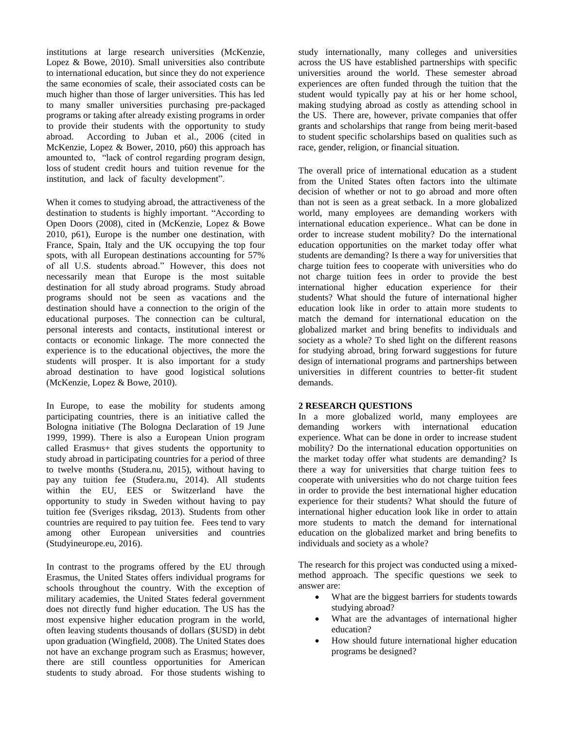institutions at large research universities (McKenzie, Lopez & Bowe, 2010). Small universities also contribute to international education, but since they do not experience the same economies of scale, their associated costs can be much higher than those of larger universities. This has led to many smaller universities purchasing pre-packaged programs or taking after already existing programs in order to provide their students with the opportunity to study abroad. According to Juban et al., 2006 (cited in McKenzie, Lopez & Bower, 2010, p60) this approach has amounted to, "lack of control regarding program design, loss of student credit hours and tuition revenue for the institution, and lack of faculty development".

When it comes to studying abroad, the attractiveness of the destination to students is highly important. "According to Open Doors (2008), cited in (McKenzie, Lopez & Bowe 2010, p61), Europe is the number one destination, with France, Spain, Italy and the UK occupying the top four spots, with all European destinations accounting for 57% of all U.S. students abroad." However, this does not necessarily mean that Europe is the most suitable destination for all study abroad programs. Study abroad programs should not be seen as vacations and the destination should have a connection to the origin of the educational purposes. The connection can be cultural, personal interests and contacts, institutional interest or contacts or economic linkage. The more connected the experience is to the educational objectives, the more the students will prosper. It is also important for a study abroad destination to have good logistical solutions (McKenzie, Lopez & Bowe, 2010).

In Europe, to ease the mobility for students among participating countries, there is an initiative called the Bologna initiative (The Bologna Declaration of 19 June 1999, 1999). There is also a European Union program called Erasmus+ that gives students the opportunity to study abroad in participating countries for a period of three to twelve months (Studera.nu, 2015), without having to pay any tuition fee (Studera.nu, 2014). All students within the EU, EES or Switzerland have the opportunity to study in Sweden without having to pay tuition fee (Sveriges riksdag, 2013). Students from other countries are required to pay tuition fee. Fees tend to vary among other European universities and countries (Studyineurope.eu, 2016).

In contrast to the programs offered by the EU through Erasmus, the United States offers individual programs for schools throughout the country. With the exception of military academies, the United States federal government does not directly fund higher education. The US has the most expensive higher education program in the world, often leaving students thousands of dollars (\$USD) in debt upon graduation (Wingfield, 2008). The United States does not have an exchange program such as Erasmus; however, there are still countless opportunities for American students to study abroad. For those students wishing to

study internationally, many colleges and universities across the US have established partnerships with specific universities around the world. These semester abroad experiences are often funded through the tuition that the student would typically pay at his or her home school, making studying abroad as costly as attending school in the US. There are, however, private companies that offer grants and scholarships that range from being merit-based to student specific scholarships based on qualities such as race, gender, religion, or financial situation.

The overall price of international education as a student from the United States often factors into the ultimate decision of whether or not to go abroad and more often than not is seen as a great setback. In a more globalized world, many employees are demanding workers with international education experience.. What can be done in order to increase student mobility? Do the international education opportunities on the market today offer what students are demanding? Is there a way for universities that charge tuition fees to cooperate with universities who do not charge tuition fees in order to provide the best international higher education experience for their students? What should the future of international higher education look like in order to attain more students to match the demand for international education on the globalized market and bring benefits to individuals and society as a whole? To shed light on the different reasons for studying abroad, bring forward suggestions for future design of international programs and partnerships between universities in different countries to better-fit student demands.

# **2 RESEARCH QUESTIONS**

In a more globalized world, many employees are demanding workers with international education experience. What can be done in order to increase student mobility? Do the international education opportunities on the market today offer what students are demanding? Is there a way for universities that charge tuition fees to cooperate with universities who do not charge tuition fees in order to provide the best international higher education experience for their students? What should the future of international higher education look like in order to attain more students to match the demand for international education on the globalized market and bring benefits to individuals and society as a whole?

The research for this project was conducted using a mixedmethod approach. The specific questions we seek to answer are:

- What are the biggest barriers for students towards studying abroad?
- What are the advantages of international higher education?
- How should future international higher education programs be designed?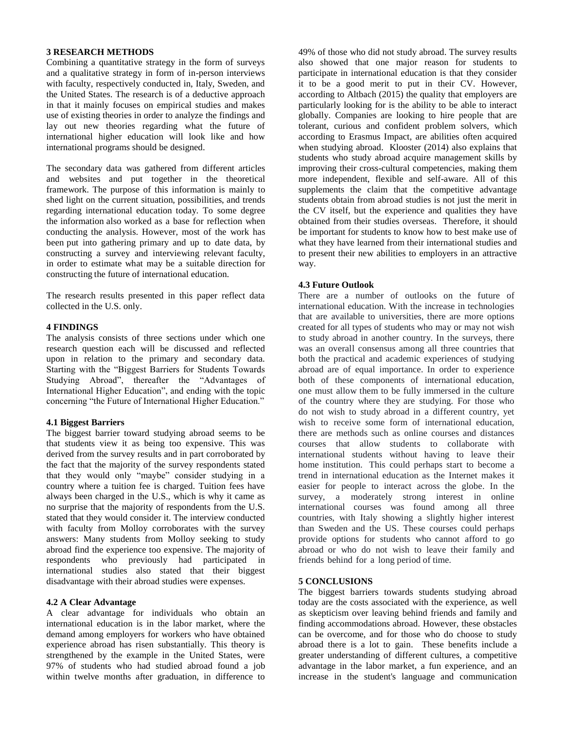# **3 RESEARCH METHODS**

Combining a quantitative strategy in the form of surveys and a qualitative strategy in form of in-person interviews with faculty, respectively conducted in, Italy, Sweden, and the United States. The research is of a deductive approach in that it mainly focuses on empirical studies and makes use of existing theories in order to analyze the findings and lay out new theories regarding what the future of international higher education will look like and how international programs should be designed.

The secondary data was gathered from different articles and websites and put together in the theoretical framework. The purpose of this information is mainly to shed light on the current situation, possibilities, and trends regarding international education today. To some degree the information also worked as a base for reflection when conducting the analysis. However, most of the work has been put into gathering primary and up to date data, by constructing a survey and interviewing relevant faculty, in order to estimate what may be a suitable direction for constructing the future of international education.

The research results presented in this paper reflect data collected in the U.S. only.

# **4 FINDINGS**

The analysis consists of three sections under which one research question each will be discussed and reflected upon in relation to the primary and secondary data. Starting with the "Biggest Barriers for Students Towards Studying Abroad", thereafter the "Advantages of International Higher Education", and ending with the topic concerning "the Future of International Higher Education."

# **4.1 Biggest Barriers**

The biggest barrier toward studying abroad seems to be that students view it as being too expensive. This was derived from the survey results and in part corroborated by the fact that the majority of the survey respondents stated that they would only "maybe" consider studying in a country where a tuition fee is charged. Tuition fees have always been charged in the U.S., which is why it came as no surprise that the majority of respondents from the U.S. stated that they would consider it. The interview conducted with faculty from Molloy corroborates with the survey answers: Many students from Molloy seeking to study abroad find the experience too expensive. The majority of respondents who previously had participated in international studies also stated that their biggest disadvantage with their abroad studies were expenses.

#### **4.2 A Clear Advantage**

A clear advantage for individuals who obtain an international education is in the labor market, where the demand among employers for workers who have obtained experience abroad has risen substantially. This theory is strengthened by the example in the United States, were 97% of students who had studied abroad found a job within twelve months after graduation, in difference to

49% of those who did not study abroad. The survey results also showed that one major reason for students to participate in international education is that they consider it to be a good merit to put in their CV. However, according to Altbach (2015) the quality that employers are particularly looking for is the ability to be able to interact globally. Companies are looking to hire people that are tolerant, curious and confident problem solvers, which according to Erasmus Impact, are abilities often acquired when studying abroad. Klooster (2014) also explains that students who study abroad acquire management skills by improving their cross-cultural competencies, making them more independent, flexible and self-aware. All of this supplements the claim that the competitive advantage students obtain from abroad studies is not just the merit in the CV itself, but the experience and qualities they have obtained from their studies overseas. Therefore, it should be important for students to know how to best make use of what they have learned from their international studies and to present their new abilities to employers in an attractive way.

### **4.3 Future Outlook**

There are a number of outlooks on the future of international education. With the increase in technologies that are available to universities, there are more options created for all types of students who may or may not wish to study abroad in another country. In the surveys, there was an overall consensus among all three countries that both the practical and academic experiences of studying abroad are of equal importance. In order to experience both of these components of international education, one must allow them to be fully immersed in the culture of the country where they are studying. For those who do not wish to study abroad in a different country, yet wish to receive some form of international education. there are methods such as online courses and distances courses that allow students to collaborate with international students without having to leave their home institution. This could perhaps start to become a trend in international education as the Internet makes it easier for people to interact across the globe. In the survey, a moderately strong interest in online international courses was found among all three countries, with Italy showing a slightly higher interest than Sweden and the US. These courses could perhaps provide options for students who cannot afford to go abroad or who do not wish to leave their family and friends behind for a long period of time.

### **5 CONCLUSIONS**

The biggest barriers towards students studying abroad today are the costs associated with the experience, as well as skepticism over leaving behind friends and family and finding accommodations abroad. However, these obstacles can be overcome, and for those who do choose to study abroad there is a lot to gain. These benefits include a greater understanding of different cultures, a competitive advantage in the labor market, a fun experience, and an increase in the student's language and communication